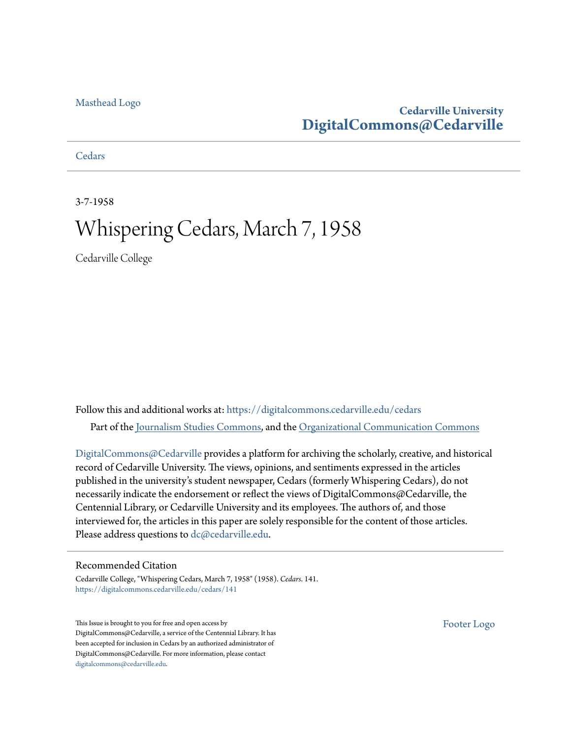## [Masthead Logo](http://www.cedarville.edu/?utm_source=digitalcommons.cedarville.edu%2Fcedars%2F141&utm_medium=PDF&utm_campaign=PDFCoverPages)

## **Cedarville University [DigitalCommons@Cedarville](https://digitalcommons.cedarville.edu?utm_source=digitalcommons.cedarville.edu%2Fcedars%2F141&utm_medium=PDF&utm_campaign=PDFCoverPages)**

## **[Cedars](https://digitalcommons.cedarville.edu/cedars?utm_source=digitalcommons.cedarville.edu%2Fcedars%2F141&utm_medium=PDF&utm_campaign=PDFCoverPages)**

3-7-1958

# Whispering Cedars, March 7, 1958

Cedarville College

Follow this and additional works at: [https://digitalcommons.cedarville.edu/cedars](https://digitalcommons.cedarville.edu/cedars?utm_source=digitalcommons.cedarville.edu%2Fcedars%2F141&utm_medium=PDF&utm_campaign=PDFCoverPages) Part of the [Journalism Studies Commons](http://network.bepress.com/hgg/discipline/333?utm_source=digitalcommons.cedarville.edu%2Fcedars%2F141&utm_medium=PDF&utm_campaign=PDFCoverPages), and the [Organizational Communication Commons](http://network.bepress.com/hgg/discipline/335?utm_source=digitalcommons.cedarville.edu%2Fcedars%2F141&utm_medium=PDF&utm_campaign=PDFCoverPages)

[DigitalCommons@Cedarville](http://digitalcommons.cedarville.edu/) provides a platform for archiving the scholarly, creative, and historical record of Cedarville University. The views, opinions, and sentiments expressed in the articles published in the university's student newspaper, Cedars (formerly Whispering Cedars), do not necessarily indicate the endorsement or reflect the views of DigitalCommons@Cedarville, the Centennial Library, or Cedarville University and its employees. The authors of, and those interviewed for, the articles in this paper are solely responsible for the content of those articles. Please address questions to [dc@cedarville.edu.](mailto:dc@cedarville.edu)

### Recommended Citation

Cedarville College, "Whispering Cedars, March 7, 1958" (1958). *Cedars*. 141. [https://digitalcommons.cedarville.edu/cedars/141](https://digitalcommons.cedarville.edu/cedars/141?utm_source=digitalcommons.cedarville.edu%2Fcedars%2F141&utm_medium=PDF&utm_campaign=PDFCoverPages)

This Issue is brought to you for free and open access by DigitalCommons@Cedarville, a service of the Centennial Library. It has been accepted for inclusion in Cedars by an authorized administrator of DigitalCommons@Cedarville. For more information, please contact [digitalcommons@cedarville.edu](mailto:digitalcommons@cedarville.edu).

[Footer Logo](http://www.cedarville.edu/Academics/Library.aspx?utm_source=digitalcommons.cedarville.edu%2Fcedars%2F141&utm_medium=PDF&utm_campaign=PDFCoverPages)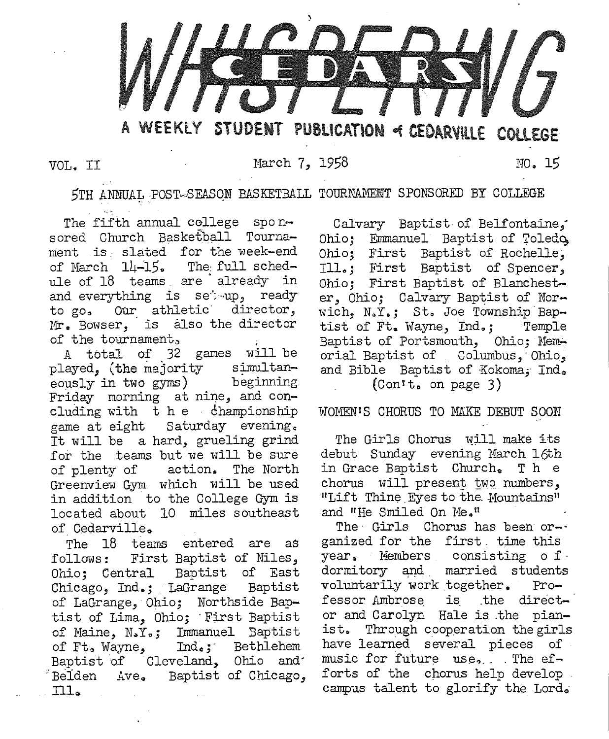

VOL. II March 7, 1958 NO. 15

5TH ANNUAL POST-SEASON BASKETBALL TOURNAMENT SPONSORED BY COLLEGE

The fifth annual college sponsored Church Basketball Tournament is slated for the week-end of March 14-15. The full schedule of 18 teams are already in and everything is set up, ready to go. Our athletic director, Mr. Bowser, is also the director of the tournament,

A total of 32 games will be played, (the majority simultan-<br>eously in two gyms) beginning eously in two gyms) Friday morning at nine, and concluding with  $t$  he championship game at eight Saturday evening., It will be a hard, grueling grind for the teams but we will be sure of plenty of action. The North Greenview Gym. which will be used in addition to the College Gym. is located about 10 miles southeast of Cedarville.

The 18 teams entered are as follows: First Baptist of Niles, Ohio; Central Baptist of East Chicago, Ind.; LaGrange Baptist of LaGrange, Ohio; Northside Baptist of Lima, Ohio; First Baptist of Maine, N.Y.; Immanuel Baptist<br>of Ft. Wayne, Ind.; Bethlehem Ind.; Bethlehem Baptist of Cleveland, Ohio and' Belden Ave. Baptist of Chicago,  $\text{III}_\sigma$ 

Calvary Baptist of Belfontaine, Ohio; Emmanuel Baptist of Toledo Ohio; First Baptist of Rochelle, Ill .. ; First Baptist of Spencer, Ohio; First Baptist of Blanchester, Ohio; Calvary Baptist of Norwich,  $N_sY_s$ ; St. Joe Township Baptist of Ft. Wayne, Ind.; Temple Baptist of Portsmouth, Ohio; Memorial Baptist of Columbus, Ohio, and Bible Baptist of Kokoma, Ind.  $(Con<sup>t</sup>$  on page 3)

WOMEN'S CHORUS TO MAKE DEBUT SOON

The Girls Chorus will make its debut Sunday evening March 16th in Grace Baptist Church. The chorus will present two numbers, "Lift Thine Eyes to the Mountains" and "He Smiled On Me."

The Girls Chorus has been organized for the first time this year. Members consisting o f. dormitory and married students voluntarily work together. Professor Ambrose is the director and Carolyn Hale is .the pianist. Through cooperation the girls have learned several pieces of music for future use. . The  $ef$ forts of the chorus help develop. campus talent to glorify the Lord.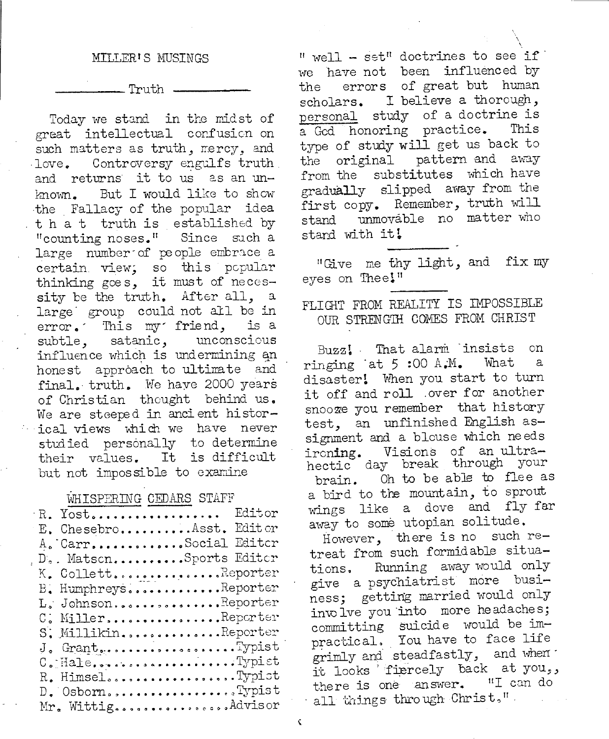#### MILLER'S MUSINGS

. Truth .

Today we stand in the midst of great intellectual confusion on such matters as truth, mercy, and love. Controversy engulfs truth and returns it to us as an un-But I would like to show known. the Fallacy of the popular idea that truth is established by "counting noses." Since such a large number of people embrace a certain view, so this popular thinking goes, it must of necessity be the truth. After all. a large group could not all be in error. This my friend, is a subtle, satanic, unconscious influence which is undermining an honest approach to ultimate and final. truth. We have 2000 years of Christian thought behind us. We are steeped in ancient historical views which we have never studied personally to determine their values. It is difficult but not impossible to examine

#### WHISPERING CEDARS STAFF

| R. Yost Editor          |  |
|-------------------------|--|
| E. ChesebroAsst. Editor |  |
| A. CarrSocial Editor    |  |
| D. MatsonSports Editor  |  |
| K. CollettReporter      |  |
| B. HumphreysReporter    |  |
| L. JohnsonReporter      |  |
| $C$ . MillerReporter    |  |
| S. MillikinReporter     |  |
| J. GrantTypist          |  |
| C. HaleTypist           |  |
| R. HimselTypist         |  |
| D. OsbornTypist         |  |
| Mr. WittigAdvisor       |  |

" well - set" doctrines to see if we have not been influenced by errors of great but human the scholars. I believe a thorough, personal study of a doctrine is a God honoring practice. This type of study will get us back to the original pattern and away from the substitutes which have gradually slipped away from the first copy. Remember, truth will unmovable no matter who stand stand with it!

"Give me thy light, and fix my eyes on Thee!"

## FLIGHT FROM REALITY IS IMPOSSIBLE OUR STRENGTH COMES FROM CHRIST

Buzz! That alarm insists on ringing at 5:00 A.M. What  $\mathsf{a}$ disaster! When you start to turn it off and roll over for another snooze you remember that history test, an unfinished English assignment and a blouse which needs ironing. Visions of an ultrahectic day break through your Oh to be able to flee as brain. a bird to the mountain, to sprout wings like a dove and fly far away to some utopian solitude.

However, there is no such retreat from such formidable situations. Running away would only give a psychiatrist more business; getting married would only involve you into more headaches; committing suicide would be impractical. You have to face life grimly and steadfastly, and when it looks fiercely back at you,, there is one answer. "I can do all things through Christ,"

¢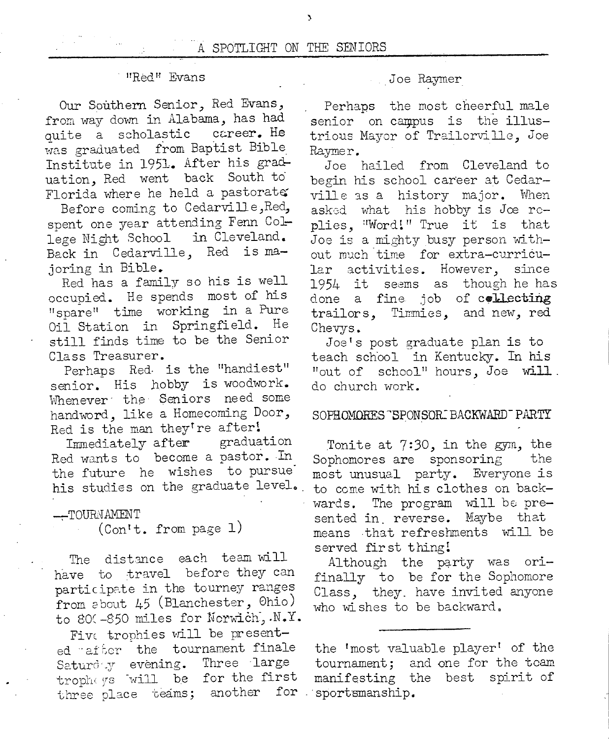#### <sup>11</sup>RE,dH Evans

Our Southern Senior, Red Evans, from way down in Alabama, has had<br>quite a scholastic career. He quite a scholastic was graduated from Baptist Bible Institute in 1951. After his graduation, Red went back South to Florida where he held a pastorate

Before coming to Cedarville ,Red, spent one year attending Fenn Co1 lege Night School in Cleveland. Back in Cedarville, Red is majoring in Bible.

Red has a family so his is well occupied. He spends most of his "snare" time working in a Pure Oil Station in Springfield. He still finds time to be the Senior Class Treasurer.

Perhaps Red- is the "handiest" senior. His hobby is woodwork. Whenever the Seniors need some handword, like a Homecoming Door, Red is the man they're after!<br>Immediately after graduation

Immediately after Red wants to become a pastor. In the future he wishes to pursue his studies on the graduate level.

#### --TOURNAMENT

(Contt. from page 1)

The distmce each team will have to travel before they can participate in the tourney ranges from 2bout 45 (Blanchester, Ohio) to 800-850 miles for Norwich, .N.Y.

Five trophies will be presented after the tournament finale Saturd y evening. Three large trophoys will be for the first three place teams; another for

#### Joe Raymer

Perhaps the most cheerful male senior on campus is the illustrious Mayor of Trailorville, Joe Raymer.

Joe hailed from Cleveland to begin his school career at Cedarville as a history major. When asked what his hobby is Joe replies, "Word!" True it is that Joe is a mighty busy person without much time for extra-curricular activities. However, since 1954 it seems as though he has done a fine job of collecting trailors, Timmies, and new, red Chevys.

Joe's post graduate plan is to teach school in Kentucky. In his "out of  $\,$  school" hours, Joe  $\,$  will.  $\,$ do church work.

#### SOPHOMORES "SPONSOR BACKWARD PARTY

Tonite at 7:30, in the gym, the Sophomores are sponsoring the most unusual party. Everyone is to come with his clothes on backwards. The program will be presented in. reverse. Maybe that means that refreshments will be served fir st thing!

Although the party was orifinally to be for the Sophomore Class, they. have invited anyone who wishes to be backward.

the 'most valuable player' of the tournament; and one for the team manifesting the best spirit of sportsmanship.